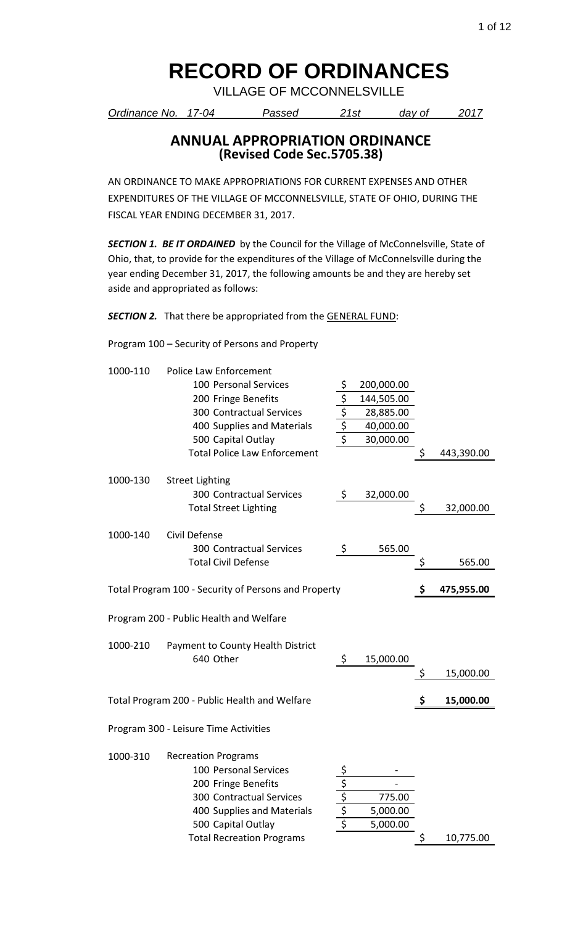VILLAGE OF MCCONNELSVILLE

*Ordinance No. 17-04 Passed 21st day of 2017*

#### **ANNUAL APPROPRIATION ORDINANCE (Revised Code Sec.5705.38)**

AN ORDINANCE TO MAKE APPROPRIATIONS FOR CURRENT EXPENSES AND OTHER EXPENDITURES OF THE VILLAGE OF MCCONNELSVILLE, STATE OF OHIO, DURING THE FISCAL YEAR ENDING DECEMBER 31, 2017.

**SECTION 1. BE IT ORDAINED** by the Council for the Village of McConnelsville, State of Ohio, that, to provide for the expenditures of the Village of McConnelsville during the year ending December 31, 2017, the following amounts be and they are hereby set aside and appropriated as follows:

**SECTION 2.** That there be appropriated from the **GENERAL FUND**:

Program 100 – Security of Persons and Property

| 1000-110 | <b>Police Law Enforcement</b>                        |                                   |            |                  |
|----------|------------------------------------------------------|-----------------------------------|------------|------------------|
|          | 100 Personal Services                                | \$                                | 200,000.00 |                  |
|          | 200 Fringe Benefits                                  |                                   | 144,505.00 |                  |
|          | 300 Contractual Services                             | $rac{5}{5}$<br>$rac{5}{5}$        | 28,885.00  |                  |
|          | 400 Supplies and Materials                           |                                   | 40,000.00  |                  |
|          | 500 Capital Outlay                                   |                                   | 30,000.00  |                  |
|          | <b>Total Police Law Enforcement</b>                  |                                   |            | \$<br>443,390.00 |
|          |                                                      |                                   |            |                  |
| 1000-130 | <b>Street Lighting</b>                               |                                   |            |                  |
|          | <b>300 Contractual Services</b>                      | \$                                | 32,000.00  |                  |
|          | <b>Total Street Lighting</b>                         |                                   |            | \$<br>32,000.00  |
|          |                                                      |                                   |            |                  |
| 1000-140 | Civil Defense                                        |                                   |            |                  |
|          | <b>300 Contractual Services</b>                      | \$                                | 565.00     |                  |
|          | <b>Total Civil Defense</b>                           |                                   |            | \$<br>565.00     |
|          |                                                      |                                   |            |                  |
|          | Total Program 100 - Security of Persons and Property |                                   |            | \$<br>475,955.00 |
|          |                                                      |                                   |            |                  |
|          |                                                      |                                   |            |                  |
|          | Program 200 - Public Health and Welfare              |                                   |            |                  |
|          |                                                      |                                   |            |                  |
| 1000-210 | Payment to County Health District                    |                                   |            |                  |
|          | 640 Other                                            | \$                                | 15,000.00  |                  |
|          |                                                      |                                   |            | \$<br>15,000.00  |
|          |                                                      |                                   |            |                  |
|          | Total Program 200 - Public Health and Welfare        |                                   |            | \$<br>15,000.00  |
|          | Program 300 - Leisure Time Activities                |                                   |            |                  |
| 1000-310 | <b>Recreation Programs</b>                           |                                   |            |                  |
|          | 100 Personal Services                                |                                   |            |                  |
|          | 200 Fringe Benefits                                  |                                   |            |                  |
|          | <b>300 Contractual Services</b>                      |                                   | 775.00     |                  |
|          | 400 Supplies and Materials                           |                                   | 5,000.00   |                  |
|          | 500 Capital Outlay                                   | $\frac{\frac{5}{5}}{\frac{5}{5}}$ | 5,000.00   |                  |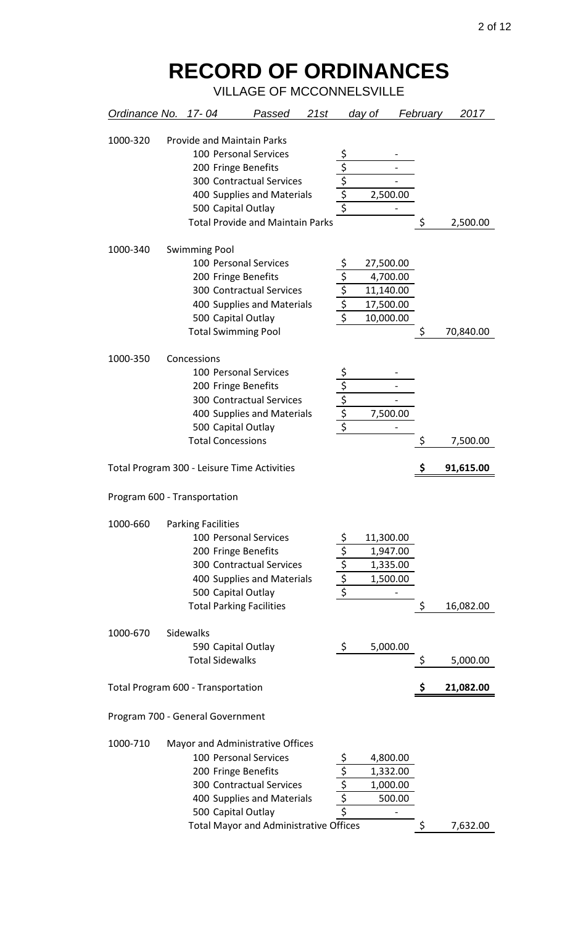| Ordinance No. 17-04 |                                                          | Passed                                                   | 21st |                                  | <u>day of</u>            | <b>February</b> | 2017      |
|---------------------|----------------------------------------------------------|----------------------------------------------------------|------|----------------------------------|--------------------------|-----------------|-----------|
| 1000-320            | <b>Provide and Maintain Parks</b><br>200 Fringe Benefits | 100 Personal Services<br><b>300 Contractual Services</b> |      | \$<br>$rac{5}{5}$<br>$rac{5}{5}$ |                          |                 |           |
|                     |                                                          | 400 Supplies and Materials                               |      |                                  | 2,500.00                 |                 |           |
|                     | 500 Capital Outlay                                       |                                                          |      |                                  |                          |                 |           |
|                     |                                                          | <b>Total Provide and Maintain Parks</b>                  |      |                                  |                          | \$              | 2,500.00  |
| 1000-340            | <b>Swimming Pool</b>                                     |                                                          |      |                                  |                          |                 |           |
|                     |                                                          | 100 Personal Services                                    |      | \$                               | 27,500.00                |                 |           |
|                     | 200 Fringe Benefits                                      |                                                          |      |                                  | 4,700.00                 |                 |           |
|                     |                                                          | 300 Contractual Services                                 |      |                                  | 11,140.00                |                 |           |
|                     |                                                          | 400 Supplies and Materials                               |      | $rac{\frac{1}{s}}{\frac{s}{s}}$  | 17,500.00                |                 |           |
|                     | 500 Capital Outlay                                       |                                                          |      |                                  | 10,000.00                |                 |           |
|                     | <b>Total Swimming Pool</b>                               |                                                          |      |                                  |                          | \$              | 70,840.00 |
| 1000-350            | Concessions                                              |                                                          |      |                                  |                          |                 |           |
|                     |                                                          | 100 Personal Services                                    |      |                                  |                          |                 |           |
|                     | 200 Fringe Benefits                                      |                                                          |      |                                  |                          |                 |           |
|                     |                                                          | <b>300 Contractual Services</b>                          |      | $\frac{5}{5}$                    |                          |                 |           |
|                     |                                                          | 400 Supplies and Materials                               |      |                                  | 7,500.00                 |                 |           |
|                     | 500 Capital Outlay                                       |                                                          |      |                                  | $\overline{\phantom{0}}$ |                 |           |
|                     | <b>Total Concessions</b>                                 |                                                          |      |                                  |                          | \$              | 7,500.00  |
|                     |                                                          |                                                          |      |                                  |                          |                 |           |
|                     | Total Program 300 - Leisure Time Activities              |                                                          |      |                                  |                          | \$              | 91,615.00 |
|                     |                                                          |                                                          |      |                                  |                          |                 |           |
|                     | Program 600 - Transportation                             |                                                          |      |                                  |                          |                 |           |
| 1000-660            | <b>Parking Facilities</b>                                |                                                          |      |                                  |                          |                 |           |
|                     |                                                          | 100 Personal Services                                    |      | \$                               | 11,300.00                |                 |           |
|                     | 200 Fringe Benefits                                      |                                                          |      |                                  | 1,947.00                 |                 |           |
|                     |                                                          | <b>300 Contractual Services</b>                          |      |                                  | 1,335.00                 |                 |           |
|                     |                                                          | 400 Supplies and Materials                               |      | $rac{5}{5}$<br>$rac{5}{5}$       | 1,500.00                 |                 |           |
|                     | 500 Capital Outlay                                       |                                                          |      |                                  |                          |                 |           |
|                     | <b>Total Parking Facilities</b>                          |                                                          |      |                                  |                          | \$              | 16,082.00 |
| 1000-670            | Sidewalks                                                |                                                          |      |                                  |                          |                 |           |
|                     | 590 Capital Outlay                                       |                                                          |      | \$                               | 5,000.00                 |                 |           |
|                     | <b>Total Sidewalks</b>                                   |                                                          |      |                                  |                          | \$              | 5,000.00  |
|                     |                                                          |                                                          |      |                                  |                          |                 |           |
|                     | Total Program 600 - Transportation                       |                                                          |      |                                  |                          | \$              | 21,082.00 |
|                     | Program 700 - General Government                         |                                                          |      |                                  |                          |                 |           |
| 1000-710            |                                                          | Mayor and Administrative Offices                         |      |                                  |                          |                 |           |
|                     |                                                          | 100 Personal Services                                    |      |                                  | 4,800.00                 |                 |           |
|                     | 200 Fringe Benefits                                      |                                                          |      |                                  | 1,332.00                 |                 |           |
|                     |                                                          | <b>300 Contractual Services</b>                          |      |                                  | 1,000.00                 |                 |           |
|                     |                                                          | 400 Supplies and Materials                               |      | $rac{5}{5}$<br>$rac{5}{5}$       | 500.00                   |                 |           |
|                     | 500 Capital Outlay                                       |                                                          |      |                                  |                          |                 |           |
|                     |                                                          | <b>Total Mayor and Administrative Offices</b>            |      |                                  |                          | \$              | 7,632.00  |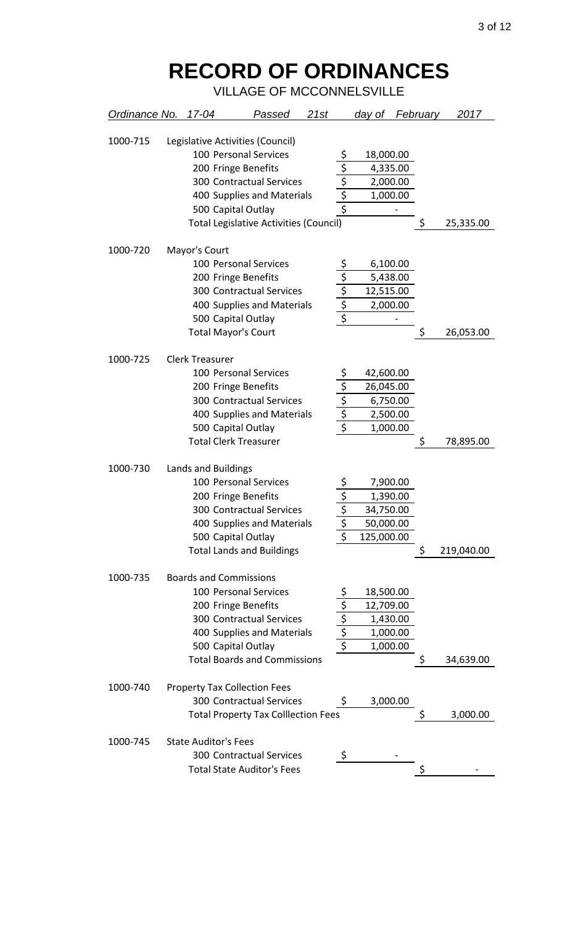| Ordinance No. 17-04 |                               | Passed                                        | 21st |                                                                         | day of     | February | 2017       |
|---------------------|-------------------------------|-----------------------------------------------|------|-------------------------------------------------------------------------|------------|----------|------------|
| 1000-715            |                               | Legislative Activities (Council)              |      |                                                                         |            |          |            |
|                     |                               | 100 Personal Services                         |      |                                                                         | 18,000.00  |          |            |
|                     |                               | 200 Fringe Benefits                           |      |                                                                         | 4,335.00   |          |            |
|                     |                               | <b>300 Contractual Services</b>               |      |                                                                         | 2,000.00   |          |            |
|                     |                               | 400 Supplies and Materials                    |      |                                                                         | 1,000.00   |          |            |
|                     |                               | 500 Capital Outlay                            |      | $\frac{\overline{S}}{\overline{S}}$ $\frac{\overline{S}}{\overline{S}}$ |            |          |            |
|                     |                               | <b>Total Legislative Activities (Council)</b> |      |                                                                         |            | \$       | 25,335.00  |
|                     |                               |                                               |      |                                                                         |            |          |            |
| 1000-720            | Mayor's Court                 |                                               |      |                                                                         |            |          |            |
|                     |                               | 100 Personal Services                         |      |                                                                         | 6,100.00   |          |            |
|                     |                               | 200 Fringe Benefits                           |      |                                                                         | 5,438.00   |          |            |
|                     |                               | <b>300 Contractual Services</b>               |      | $\frac{5}{5}$ $\frac{5}{5}$ $\frac{5}{5}$ $\frac{5}{5}$                 | 12,515.00  |          |            |
|                     |                               | 400 Supplies and Materials                    |      |                                                                         | 2,000.00   |          |            |
|                     |                               | 500 Capital Outlay                            |      |                                                                         |            |          |            |
|                     | <b>Total Mayor's Court</b>    |                                               |      |                                                                         |            | \$       | 26,053.00  |
| 1000-725            | <b>Clerk Treasurer</b>        |                                               |      |                                                                         |            |          |            |
|                     |                               | 100 Personal Services                         |      |                                                                         | 42,600.00  |          |            |
|                     |                               | 200 Fringe Benefits                           |      |                                                                         | 26,045.00  |          |            |
|                     |                               | <b>300 Contractual Services</b>               |      | $rac{\frac{5}{5}}{\frac{5}{5}}$                                         | 6,750.00   |          |            |
|                     |                               | 400 Supplies and Materials                    |      |                                                                         | 2,500.00   |          |            |
|                     |                               | 500 Capital Outlay                            |      |                                                                         | 1,000.00   |          |            |
|                     |                               | <b>Total Clerk Treasurer</b>                  |      |                                                                         |            | \$       | 78,895.00  |
|                     |                               |                                               |      |                                                                         |            |          |            |
| 1000-730            | Lands and Buildings           |                                               |      |                                                                         |            |          |            |
|                     |                               | 100 Personal Services                         |      |                                                                         | 7,900.00   |          |            |
|                     |                               | 200 Fringe Benefits                           |      |                                                                         | 1,390.00   |          |            |
|                     |                               | <b>300 Contractual Services</b>               |      |                                                                         | 34,750.00  |          |            |
|                     |                               | 400 Supplies and Materials                    |      | \$                                                                      | 50,000.00  |          |            |
|                     |                               | 500 Capital Outlay                            |      | \$                                                                      | 125,000.00 |          |            |
|                     |                               | <b>Total Lands and Buildings</b>              |      |                                                                         |            | \$       | 219,040.00 |
| 1000-735            | <b>Boards and Commissions</b> |                                               |      |                                                                         |            |          |            |
|                     |                               | 100 Personal Services                         |      |                                                                         | 18,500.00  |          |            |
|                     |                               | 200 Fringe Benefits                           |      | $\frac{5}{5}$<br>$\frac{5}{5}$                                          | 12,709.00  |          |            |
|                     |                               | <b>300 Contractual Services</b>               |      |                                                                         | 1,430.00   |          |            |
|                     |                               | 400 Supplies and Materials                    |      |                                                                         | 1,000.00   |          |            |
|                     |                               | 500 Capital Outlay                            |      |                                                                         | 1,000.00   |          |            |
|                     |                               | <b>Total Boards and Commissions</b>           |      |                                                                         |            | \$       | 34,639.00  |
|                     |                               |                                               |      |                                                                         |            |          |            |
| 1000-740            |                               | <b>Property Tax Collection Fees</b>           |      |                                                                         |            |          |            |
|                     |                               | 300 Contractual Services                      |      | \$                                                                      | 3,000.00   |          |            |
|                     |                               | <b>Total Property Tax Colllection Fees</b>    |      |                                                                         |            | \$       | 3,000.00   |
| 1000-745            | <b>State Auditor's Fees</b>   |                                               |      |                                                                         |            |          |            |
|                     |                               | <b>300 Contractual Services</b>               |      | S                                                                       |            |          |            |
|                     |                               | <b>Total State Auditor's Fees</b>             |      |                                                                         |            |          |            |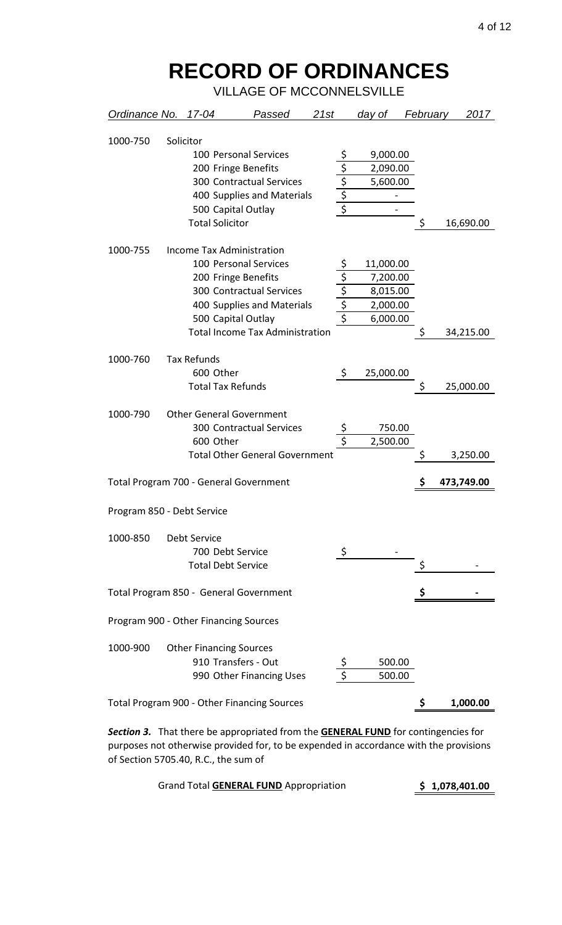VILLAGE OF MCCONNELSVILLE

| Ordinance No. 17-04                   |                                | Passed                                      | 21st |                                 | <u>day of </u>               | February | 2017       |
|---------------------------------------|--------------------------------|---------------------------------------------|------|---------------------------------|------------------------------|----------|------------|
| 1000-750                              | Solicitor                      |                                             |      |                                 |                              |          |            |
|                                       |                                | 100 Personal Services                       |      |                                 | 9,000.00                     |          |            |
|                                       |                                | 200 Fringe Benefits                         |      | $rac{\frac{5}{5}}{\frac{5}{5}}$ | 2,090.00                     |          |            |
|                                       |                                | 300 Contractual Services                    |      |                                 | 5,600.00                     |          |            |
|                                       |                                | 400 Supplies and Materials                  |      |                                 | $\qquad \qquad \blacksquare$ |          |            |
|                                       |                                | 500 Capital Outlay                          |      |                                 |                              |          |            |
|                                       | <b>Total Solicitor</b>         |                                             |      |                                 |                              | \$       | 16,690.00  |
| 1000-755                              |                                | <b>Income Tax Administration</b>            |      |                                 |                              |          |            |
|                                       |                                | 100 Personal Services                       |      |                                 | 11,000.00                    |          |            |
|                                       |                                | 200 Fringe Benefits                         |      |                                 | 7,200.00                     |          |            |
|                                       |                                | <b>300 Contractual Services</b>             |      |                                 | 8,015.00                     |          |            |
|                                       |                                | 400 Supplies and Materials                  |      | $rac{5}{5}$<br>$rac{5}{5}$      | 2,000.00                     |          |            |
|                                       |                                | 500 Capital Outlay                          |      |                                 | 6,000.00                     |          |            |
|                                       |                                | <b>Total Income Tax Administration</b>      |      |                                 |                              | \$       | 34,215.00  |
| 1000-760                              | <b>Tax Refunds</b>             |                                             |      |                                 |                              |          |            |
|                                       | 600 Other                      |                                             |      | \$                              | 25,000.00                    |          |            |
|                                       | <b>Total Tax Refunds</b>       |                                             |      |                                 |                              | \$       | 25,000.00  |
| 1000-790                              |                                | <b>Other General Government</b>             |      |                                 |                              |          |            |
|                                       |                                | <b>300 Contractual Services</b>             |      | \$                              | 750.00                       |          |            |
|                                       | 600 Other                      |                                             |      | $\overline{\xi}$                | 2,500.00                     |          |            |
|                                       |                                | <b>Total Other General Government</b>       |      |                                 |                              |          | 3,250.00   |
|                                       |                                | Total Program 700 - General Government      |      |                                 |                              |          | 473,749.00 |
| Program 850 - Debt Service            |                                |                                             |      |                                 |                              |          |            |
| 1000-850                              | <b>Debt Service</b>            |                                             |      |                                 |                              |          |            |
|                                       | 700 Debt Service               |                                             |      | \$                              |                              |          |            |
|                                       | <b>Total Debt Service</b>      |                                             |      |                                 |                              |          |            |
|                                       |                                | Total Program 850 - General Government      |      |                                 |                              |          |            |
| Program 900 - Other Financing Sources |                                |                                             |      |                                 |                              |          |            |
| 1000-900                              | <b>Other Financing Sources</b> |                                             |      |                                 |                              |          |            |
|                                       |                                | 910 Transfers - Out                         |      |                                 | 500.00                       |          |            |
|                                       |                                | 990 Other Financing Uses                    |      | $\overline{\mathsf{s}}$         | 500.00                       |          |            |
|                                       |                                | Total Program 900 - Other Financing Sources |      |                                 |                              | Ş        | 1,000.00   |

*Section 3.* That there be appropriated from the **GENERAL FUND** for contingencies for purposes not otherwise provided for, to be expended in accordance with the provisions of Section 5705.40, R.C., the sum of

| <b>Grand Total GENERAL FUND Appropriation</b> | \$1,078,401.00 |
|-----------------------------------------------|----------------|
|-----------------------------------------------|----------------|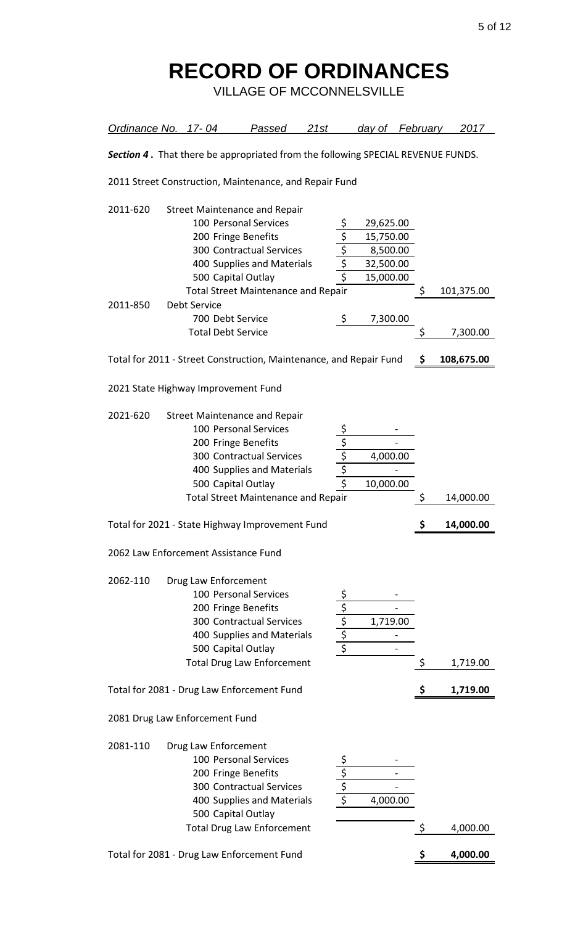| Ordinance No. 17-04                             |                                                                      | Passed                                                                                                                                                                                                             | 21st                           |                                                       | day of                                                                   | February | 2017                   |
|-------------------------------------------------|----------------------------------------------------------------------|--------------------------------------------------------------------------------------------------------------------------------------------------------------------------------------------------------------------|--------------------------------|-------------------------------------------------------|--------------------------------------------------------------------------|----------|------------------------|
|                                                 |                                                                      | Section 4. That there be appropriated from the following SPECIAL REVENUE FUNDS.                                                                                                                                    |                                |                                                       |                                                                          |          |                        |
|                                                 |                                                                      | 2011 Street Construction, Maintenance, and Repair Fund                                                                                                                                                             |                                |                                                       |                                                                          |          |                        |
| 2011-620<br>2011-850                            | <b>Debt Service</b><br>700 Debt Service<br><b>Total Debt Service</b> | <b>Street Maintenance and Repair</b><br>100 Personal Services<br>200 Fringe Benefits<br>300 Contractual Services<br>400 Supplies and Materials<br>500 Capital Outlay<br><b>Total Street Maintenance and Repair</b> |                                | $\frac{5}{5}$<br>$\frac{5}{5}$<br>$\frac{5}{5}$<br>\$ | 29,625.00<br>15,750.00<br>8,500.00<br>32,500.00<br>15,000.00<br>7,300.00 | \$<br>\$ | 101,375.00<br>7,300.00 |
|                                                 |                                                                      | Total for 2011 - Street Construction, Maintenance, and Repair Fund                                                                                                                                                 |                                |                                                       |                                                                          | \$       | 108,675.00             |
| 2021 State Highway Improvement Fund<br>2021-620 |                                                                      | <b>Street Maintenance and Repair</b>                                                                                                                                                                               |                                |                                                       |                                                                          |          |                        |
|                                                 |                                                                      | 100 Personal Services<br>200 Fringe Benefits<br><b>300 Contractual Services</b><br>400 Supplies and Materials<br>500 Capital Outlay<br><b>Total Street Maintenance and Repair</b>                                  | $\frac{5}{5}$<br>$\frac{5}{5}$ |                                                       | 4,000.00<br>10,000.00                                                    | Ş        | 14,000.00              |
|                                                 |                                                                      | Total for 2021 - State Highway Improvement Fund                                                                                                                                                                    |                                |                                                       |                                                                          | \$       | 14,000.00              |
| 2062 Law Enforcement Assistance Fund            |                                                                      |                                                                                                                                                                                                                    |                                |                                                       |                                                                          |          |                        |
| 2062-110                                        | Drug Law Enforcement                                                 | 100 Personal Services<br>200 Fringe Benefits<br><b>300 Contractual Services</b><br>400 Supplies and Materials<br>500 Capital Outlay<br><b>Total Drug Law Enforcement</b>                                           | $rac{\sqrt{5}}{\sqrt{5}}$      |                                                       | 1,719.00                                                                 | \$       | 1,719.00               |
|                                                 |                                                                      | Total for 2081 - Drug Law Enforcement Fund                                                                                                                                                                         |                                |                                                       |                                                                          | \$       | 1,719.00               |
| 2081 Drug Law Enforcement Fund                  |                                                                      |                                                                                                                                                                                                                    |                                |                                                       |                                                                          |          |                        |
| 2081-110                                        | Drug Law Enforcement                                                 | 100 Personal Services<br>200 Fringe Benefits<br><b>300 Contractual Services</b><br>400 Supplies and Materials<br>500 Capital Outlay                                                                                | $rac{5}{5}$                    |                                                       | 4,000.00                                                                 |          |                        |
|                                                 |                                                                      | <b>Total Drug Law Enforcement</b>                                                                                                                                                                                  |                                |                                                       |                                                                          | \$       | 4,000.00               |
|                                                 |                                                                      | Total for 2081 - Drug Law Enforcement Fund                                                                                                                                                                         |                                |                                                       |                                                                          | \$       | 4,000.00               |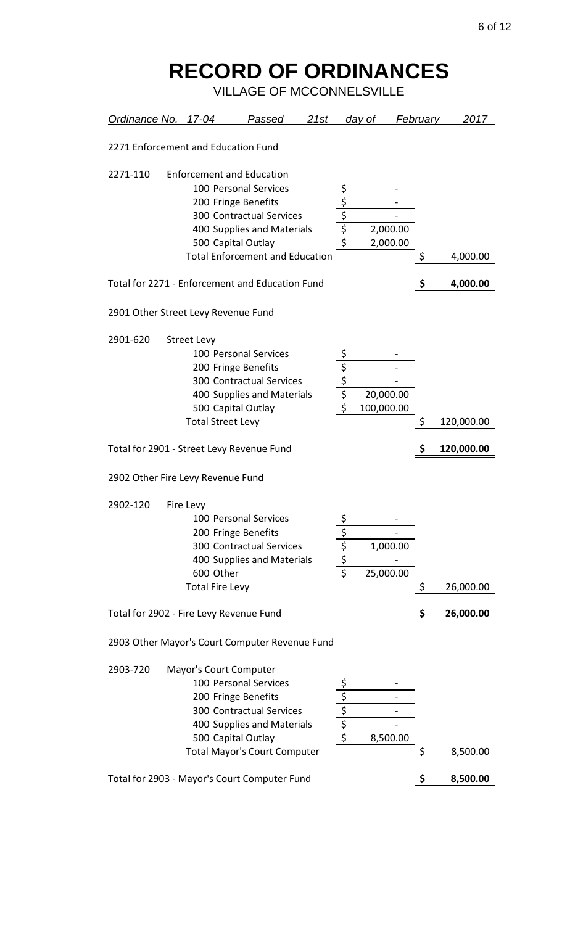| Ordinance No. 17-04                             |                                                  | Passed                                                                                                                                                                                                                                                               | 21st |                                               | day of     |                       | February | 2017                 |
|-------------------------------------------------|--------------------------------------------------|----------------------------------------------------------------------------------------------------------------------------------------------------------------------------------------------------------------------------------------------------------------------|------|-----------------------------------------------|------------|-----------------------|----------|----------------------|
| 2271 Enforcement and Education Fund             |                                                  |                                                                                                                                                                                                                                                                      |      |                                               |            |                       |          |                      |
| 2271-110<br>2901 Other Street Levy Revenue Fund |                                                  | <b>Enforcement and Education</b><br>100 Personal Services<br>200 Fringe Benefits<br><b>300 Contractual Services</b><br>400 Supplies and Materials<br>500 Capital Outlay<br><b>Total Enforcement and Education</b><br>Total for 2271 - Enforcement and Education Fund |      | $rac{\frac{1}{\sqrt{2}}}{\frac{1}{\sqrt{2}}}$ |            | 2,000.00<br>2,000.00  | Ş        | 4,000.00<br>4,000.00 |
| 2901-620                                        | <b>Street Levy</b><br><b>Total Street Levy</b>   | 100 Personal Services<br>200 Fringe Benefits<br>300 Contractual Services<br>400 Supplies and Materials<br>500 Capital Outlay                                                                                                                                         |      | $\frac{\frac{5}{5}}{\frac{5}{5}}$             | 100,000.00 | 20,000.00             | \$       | 120,000.00           |
|                                                 |                                                  | Total for 2901 - Street Levy Revenue Fund                                                                                                                                                                                                                            |      |                                               |            |                       |          | 120,000.00           |
| 2902 Other Fire Levy Revenue Fund               |                                                  |                                                                                                                                                                                                                                                                      |      |                                               |            |                       |          |                      |
| 2902-120                                        | Fire Levy<br>600 Other<br><b>Total Fire Levy</b> | 100 Personal Services<br>200 Fringe Benefits<br>300 Contractual Services<br>400 Supplies and Materials                                                                                                                                                               |      | <u>\$</u><br>$\frac{5}{5}$<br>$\frac{5}{5}$   |            | 1,000.00<br>25,000.00 | \$       | 26,000.00            |
| Total for 2902 - Fire Levy Revenue Fund         |                                                  |                                                                                                                                                                                                                                                                      |      |                                               |            |                       | \$       | 26,000.00            |
|                                                 |                                                  | 2903 Other Mayor's Court Computer Revenue Fund                                                                                                                                                                                                                       |      |                                               |            |                       |          |                      |
| 2903-720                                        | Mayor's Court Computer                           | 100 Personal Services<br>200 Fringe Benefits<br>300 Contractual Services<br>400 Supplies and Materials<br>500 Capital Outlay<br><b>Total Mayor's Court Computer</b><br>Total for 2903 - Mayor's Court Computer Fund                                                  |      | $\frac{5}{5}$<br>$\frac{5}{5}$                |            | 8,500.00              | \$<br>\$ | 8,500.00<br>8,500.00 |
|                                                 |                                                  |                                                                                                                                                                                                                                                                      |      |                                               |            |                       |          |                      |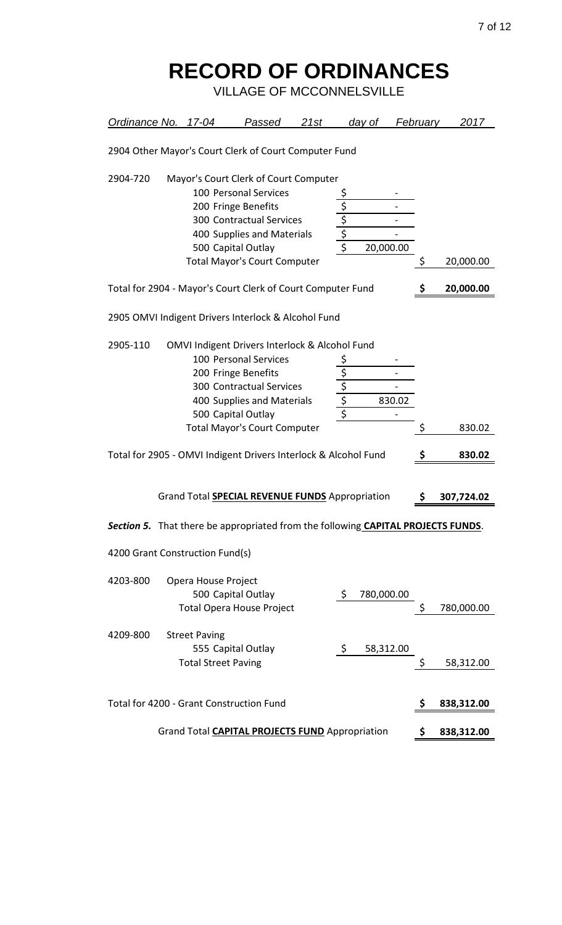| Ordinance No. 17-04 |                                                                                                                                                                                                                                                                                                                      |                                                                                                                                            | Passed                                                                                 | 21st |                                                                        | day of     |        | February | 2017       |
|---------------------|----------------------------------------------------------------------------------------------------------------------------------------------------------------------------------------------------------------------------------------------------------------------------------------------------------------------|--------------------------------------------------------------------------------------------------------------------------------------------|----------------------------------------------------------------------------------------|------|------------------------------------------------------------------------|------------|--------|----------|------------|
|                     |                                                                                                                                                                                                                                                                                                                      | 2904 Other Mayor's Court Clerk of Court Computer Fund                                                                                      |                                                                                        |      |                                                                        |            |        |          |            |
| 2904-720            | Mayor's Court Clerk of Court Computer<br>100 Personal Services<br>\$<br>200 Fringe Benefits<br>$rac{5}{5}$<br><b>300 Contractual Services</b><br>400 Supplies and Materials<br>500 Capital Outlay<br>20,000.00<br><b>Total Mayor's Court Computer</b><br>Total for 2904 - Mayor's Court Clerk of Court Computer Fund |                                                                                                                                            |                                                                                        |      |                                                                        |            |        | Ş        | 20,000.00  |
|                     |                                                                                                                                                                                                                                                                                                                      |                                                                                                                                            |                                                                                        |      |                                                                        |            |        | \$       | 20,000.00  |
|                     |                                                                                                                                                                                                                                                                                                                      | 2905 OMVI Indigent Drivers Interlock & Alcohol Fund                                                                                        |                                                                                        |      |                                                                        |            |        |          |            |
| 2905-110            |                                                                                                                                                                                                                                                                                                                      | OMVI Indigent Drivers Interlock & Alcohol Fund<br>200 Fringe Benefits<br>500 Capital Outlay<br><b>Total Mayor's Court Computer</b>         | 100 Personal Services<br><b>300 Contractual Services</b><br>400 Supplies and Materials |      | \$<br>$\overline{\mathsf{S}}$<br>$rac{5}{5}$<br>$\overline{\varsigma}$ |            | 830.02 | \$       | 830.02     |
|                     |                                                                                                                                                                                                                                                                                                                      | Total for 2905 - OMVI Indigent Drivers Interlock & Alcohol Fund                                                                            |                                                                                        |      |                                                                        |            |        | \$       | 830.02     |
|                     |                                                                                                                                                                                                                                                                                                                      | Grand Total <b>SPECIAL REVENUE FUNDS</b> Appropriation<br>Section 5. That there be appropriated from the following CAPITAL PROJECTS FUNDS. |                                                                                        |      |                                                                        |            |        | \$       | 307,724.02 |
|                     |                                                                                                                                                                                                                                                                                                                      | 4200 Grant Construction Fund(s)                                                                                                            |                                                                                        |      |                                                                        |            |        |          |            |
| 4203-800            |                                                                                                                                                                                                                                                                                                                      | Opera House Project<br>500 Capital Outlay<br><b>Total Opera House Project</b>                                                              |                                                                                        |      | \$                                                                     | 780,000.00 |        | Ş        | 780,000.00 |
| 4209-800            |                                                                                                                                                                                                                                                                                                                      | <b>Street Paving</b><br>555 Capital Outlay<br><b>Total Street Paving</b>                                                                   |                                                                                        |      | $\zeta$                                                                | 58,312.00  |        | Ş        | 58,312.00  |
|                     |                                                                                                                                                                                                                                                                                                                      | Total for 4200 - Grant Construction Fund                                                                                                   |                                                                                        |      |                                                                        |            |        | \$       | 838,312.00 |
|                     |                                                                                                                                                                                                                                                                                                                      | Grand Total <b>CAPITAL PROJECTS FUND</b> Appropriation                                                                                     |                                                                                        |      |                                                                        |            |        | Ş        | 838,312.00 |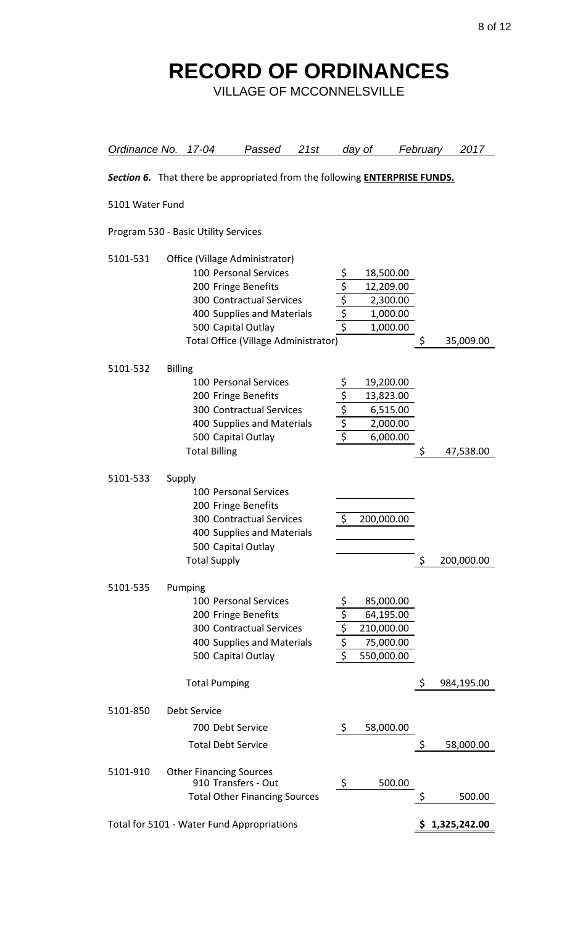| Ordinance No. 17-04                                                               |                |                                                                             | <u>Passed</u>                                                                                                                  | 21st |                                                 | day of                                                          | February | 2017           |
|-----------------------------------------------------------------------------------|----------------|-----------------------------------------------------------------------------|--------------------------------------------------------------------------------------------------------------------------------|------|-------------------------------------------------|-----------------------------------------------------------------|----------|----------------|
| Section 6. That there be appropriated from the following <b>ENTERPRISE FUNDS.</b> |                |                                                                             |                                                                                                                                |      |                                                 |                                                                 |          |                |
| 5101 Water Fund                                                                   |                |                                                                             |                                                                                                                                |      |                                                 |                                                                 |          |                |
|                                                                                   |                | Program 530 - Basic Utility Services                                        |                                                                                                                                |      |                                                 |                                                                 |          |                |
| 5101-531                                                                          |                | Office (Village Administrator)<br>200 Fringe Benefits<br>500 Capital Outlay | 100 Personal Services<br><b>300 Contractual Services</b><br>400 Supplies and Materials<br>Total Office (Village Administrator) |      | $rac{5}{5}$<br>$rac{5}{5}$                      | 18,500.00<br>12,209.00<br>2,300.00<br>1,000.00<br>1,000.00      | \$       | 35,009.00      |
| 5101-532                                                                          | <b>Billing</b> | 200 Fringe Benefits<br>500 Capital Outlay<br><b>Total Billing</b>           | 100 Personal Services<br><b>300 Contractual Services</b><br>400 Supplies and Materials                                         |      | $\frac{\sqrt{5}}{5}$<br>$\frac{5}{5}$           | 19,200.00<br>13,823.00<br>6,515.00<br>2,000.00<br>6,000.00      | Ş        | 47,538.00      |
| 5101-533                                                                          | Supply         | 200 Fringe Benefits<br>500 Capital Outlay<br><b>Total Supply</b>            | 100 Personal Services<br><b>300 Contractual Services</b><br>400 Supplies and Materials                                         |      | \$                                              | 200,000.00                                                      | \$       | 200,000.00     |
| 5101-535                                                                          |                | Pumping<br>200 Fringe Benefits<br>500 Capital Outlay                        | 100 Personal Services<br>300 Contractual Services<br>400 Supplies and Materials                                                |      | $\frac{1}{5}$<br>$\frac{1}{5}$<br>$\frac{1}{5}$ | 85,000.00<br>64,195.00<br>210,000.00<br>75,000.00<br>550,000.00 |          |                |
|                                                                                   |                | <b>Total Pumping</b>                                                        |                                                                                                                                |      |                                                 |                                                                 | \$       | 984,195.00     |
| 5101-850                                                                          |                | <b>Debt Service</b><br>700 Debt Service<br><b>Total Debt Service</b>        |                                                                                                                                |      | \$                                              | 58,000.00                                                       | \$       | 58,000.00      |
| 5101-910                                                                          |                | <b>Other Financing Sources</b><br>910 Transfers - Out                       | <b>Total Other Financing Sources</b>                                                                                           |      | \$                                              | 500.00                                                          | \$       | 500.00         |
| Total for 5101 - Water Fund Appropriations                                        |                |                                                                             |                                                                                                                                |      |                                                 |                                                                 |          | \$1,325,242.00 |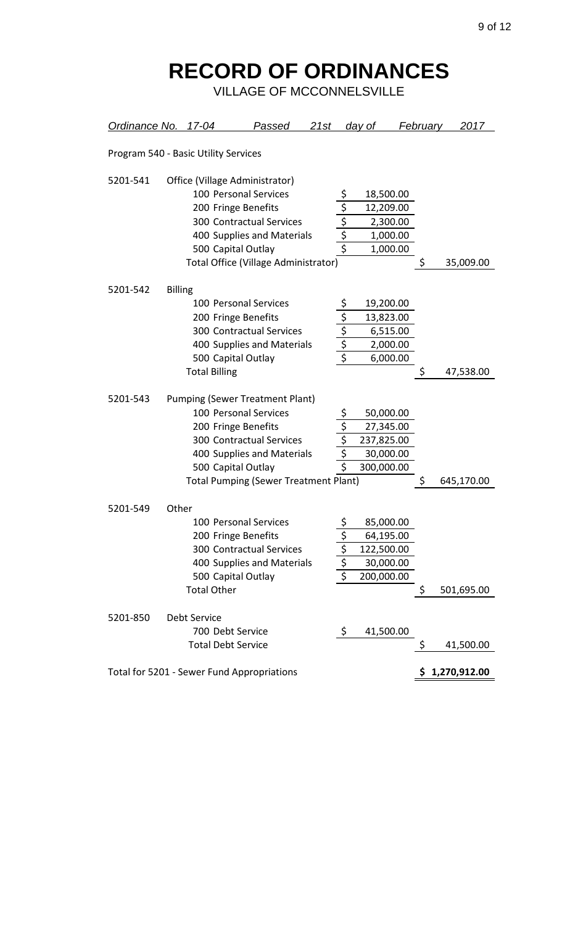| Ordinance No. 17-04                        |                |                                      | Passed                                                          | 21st |                                 | <u>day of </u> | <b>February</b> |            | 2017       |
|--------------------------------------------|----------------|--------------------------------------|-----------------------------------------------------------------|------|---------------------------------|----------------|-----------------|------------|------------|
|                                            |                | Program 540 - Basic Utility Services |                                                                 |      |                                 |                |                 |            |            |
| 5201-541                                   |                |                                      | Office (Village Administrator)                                  |      |                                 |                |                 |            |            |
|                                            |                |                                      | 100 Personal Services                                           |      |                                 | 18,500.00      |                 |            |            |
|                                            |                | 200 Fringe Benefits                  |                                                                 |      |                                 | 12,209.00      |                 |            |            |
|                                            |                |                                      | <b>300 Contractual Services</b>                                 |      | $rac{5}{5}$<br>$rac{5}{5}$      | 2,300.00       |                 |            |            |
|                                            |                |                                      | 400 Supplies and Materials                                      |      |                                 | 1,000.00       |                 |            |            |
|                                            |                | 500 Capital Outlay                   |                                                                 |      |                                 | 1,000.00       |                 |            |            |
|                                            |                |                                      | Total Office (Village Administrator)                            |      |                                 |                | \$              |            | 35,009.00  |
| 5201-542                                   | <b>Billing</b> |                                      |                                                                 |      |                                 |                |                 |            |            |
|                                            |                |                                      | 100 Personal Services                                           |      |                                 | 19,200.00      |                 |            |            |
|                                            |                | 200 Fringe Benefits                  |                                                                 |      |                                 | 13,823.00      |                 |            |            |
|                                            |                |                                      | <b>300 Contractual Services</b>                                 |      |                                 | 6,515.00       |                 |            |            |
|                                            |                |                                      | 400 Supplies and Materials                                      |      | $rac{\frac{5}{5}}{\frac{5}{5}}$ | 2,000.00       |                 |            |            |
|                                            |                | 500 Capital Outlay                   |                                                                 |      |                                 | 6,000.00       |                 |            |            |
|                                            |                | <b>Total Billing</b>                 |                                                                 |      |                                 |                | \$              |            | 47,538.00  |
| 5201-543                                   |                |                                      |                                                                 |      |                                 |                |                 |            |            |
|                                            |                |                                      | <b>Pumping (Sewer Treatment Plant)</b><br>100 Personal Services |      |                                 | 50,000.00      |                 |            |            |
|                                            |                | 200 Fringe Benefits                  |                                                                 |      |                                 | 27,345.00      |                 |            |            |
|                                            |                |                                      | <b>300 Contractual Services</b>                                 |      | $\frac{5}{5}$                   | 237,825.00     |                 |            |            |
|                                            |                |                                      | 400 Supplies and Materials                                      |      |                                 | 30,000.00      |                 |            |            |
|                                            |                | 500 Capital Outlay                   |                                                                 |      |                                 | 300,000.00     |                 |            |            |
|                                            |                |                                      | <b>Total Pumping (Sewer Treatment Plant)</b>                    |      |                                 |                | \$              | 645,170.00 |            |
|                                            |                |                                      |                                                                 |      |                                 |                |                 |            |            |
| 5201-549                                   | Other          |                                      | 100 Personal Services                                           |      | \$                              | 85,000.00      |                 |            |            |
|                                            |                | 200 Fringe Benefits                  |                                                                 |      |                                 | 64,195.00      |                 |            |            |
|                                            |                |                                      | <b>300 Contractual Services</b>                                 |      | $\frac{5}{5}$<br>$\frac{5}{5}$  | 122,500.00     |                 |            |            |
|                                            |                |                                      | 400 Supplies and Materials                                      |      |                                 | 30,000.00      |                 |            |            |
|                                            |                | 500 Capital Outlay                   |                                                                 |      |                                 | 200,000.00     |                 |            |            |
|                                            |                | <b>Total Other</b>                   |                                                                 |      |                                 |                | \$              |            | 501,695.00 |
| 5201-850                                   |                | <b>Debt Service</b>                  |                                                                 |      |                                 |                |                 |            |            |
|                                            |                | 700 Debt Service                     |                                                                 |      | \$                              |                |                 |            |            |
|                                            |                | <b>Total Debt Service</b>            |                                                                 |      |                                 | 41,500.00      | \$              |            | 41,500.00  |
|                                            |                |                                      |                                                                 |      |                                 |                |                 |            |            |
| Total for 5201 - Sewer Fund Appropriations |                |                                      |                                                                 |      |                                 |                | 1,270,912.00    |            |            |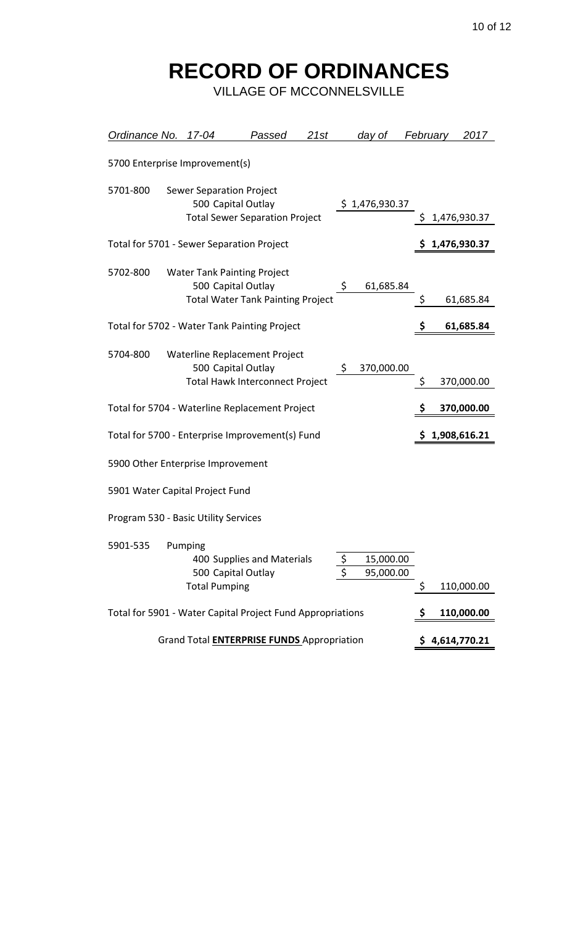| Ordinance No.                                              |  | 17-04                                                                                                | Passed                     | 21st |                  | day of                 | <b>February</b> |  | 2017           |
|------------------------------------------------------------|--|------------------------------------------------------------------------------------------------------|----------------------------|------|------------------|------------------------|-----------------|--|----------------|
|                                                            |  | 5700 Enterprise Improvement(s)                                                                       |                            |      |                  |                        |                 |  |                |
| 5701-800                                                   |  | <b>Sewer Separation Project</b><br>500 Capital Outlay<br><b>Total Sewer Separation Project</b>       |                            |      |                  | \$1,476,930.37         | \$.             |  | 1,476,930.37   |
|                                                            |  | Total for 5701 - Sewer Separation Project                                                            |                            |      |                  |                        |                 |  | \$1,476,930.37 |
| 5702-800                                                   |  | <b>Water Tank Painting Project</b><br>500 Capital Outlay<br><b>Total Water Tank Painting Project</b> |                            |      | \$               | 61,685.84              | \$              |  | 61,685.84      |
|                                                            |  | Total for 5702 - Water Tank Painting Project                                                         |                            |      |                  |                        |                 |  | 61,685.84      |
| 5704-800                                                   |  | Waterline Replacement Project<br>500 Capital Outlay<br><b>Total Hawk Interconnect Project</b>        |                            |      | \$               | 370,000.00             | \$              |  | 370,000.00     |
|                                                            |  | Total for 5704 - Waterline Replacement Project                                                       |                            |      |                  |                        |                 |  | 370,000.00     |
|                                                            |  | Total for 5700 - Enterprise Improvement(s) Fund                                                      |                            |      |                  |                        |                 |  | \$1,908,616.21 |
|                                                            |  | 5900 Other Enterprise Improvement                                                                    |                            |      |                  |                        |                 |  |                |
|                                                            |  | 5901 Water Capital Project Fund                                                                      |                            |      |                  |                        |                 |  |                |
|                                                            |  | Program 530 - Basic Utility Services                                                                 |                            |      |                  |                        |                 |  |                |
| 5901-535                                                   |  | Pumping<br>500 Capital Outlay<br><b>Total Pumping</b>                                                | 400 Supplies and Materials |      | $\overline{\xi}$ | 15,000.00<br>95,000.00 | \$              |  | 110,000.00     |
| Total for 5901 - Water Capital Project Fund Appropriations |  |                                                                                                      |                            |      |                  |                        |                 |  | 110,000.00     |
| Grand Total <b>ENTERPRISE FUNDS</b> Appropriation          |  |                                                                                                      |                            |      |                  |                        |                 |  | 4,614,770.21   |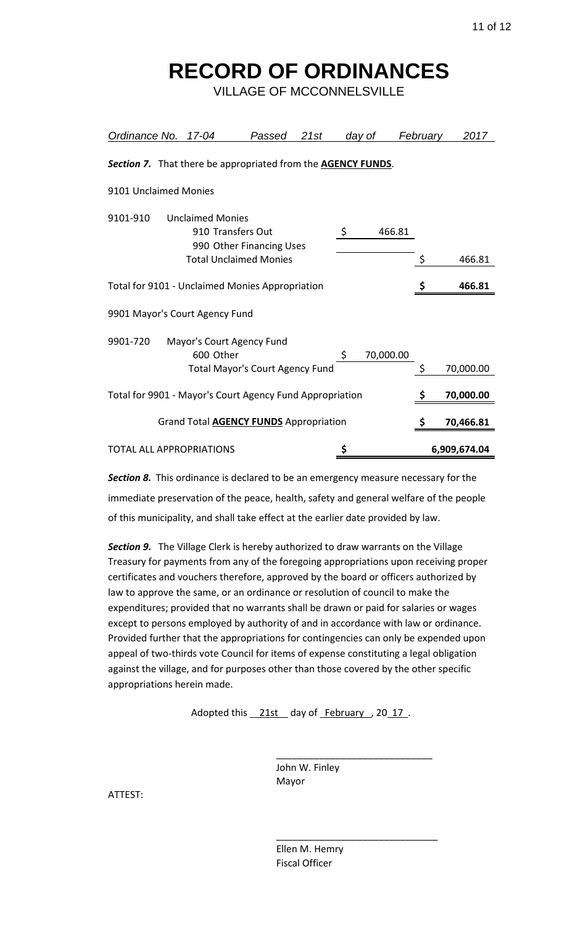VILLAGE OF MCCONNELSVILLE

| <b>Ordinance No.</b>                                         | 17-04                                                                    | Passed | 21st | day of |           | February | 2017         |
|--------------------------------------------------------------|--------------------------------------------------------------------------|--------|------|--------|-----------|----------|--------------|
| Section 7. That there be appropriated from the AGENCY FUNDS. |                                                                          |        |      |        |           |          |              |
| 9101 Unclaimed Monies                                        |                                                                          |        |      |        |           |          |              |
| 9101-910                                                     | <b>Unclaimed Monies</b><br>910 Transfers Out<br>990 Other Financing Uses |        |      | \$     | 466.81    |          |              |
|                                                              | <b>Total Unclaimed Monies</b>                                            |        |      |        |           | \$       | 466.81       |
| Total for 9101 - Unclaimed Monies Appropriation              |                                                                          |        |      |        |           |          | 466.81       |
| 9901 Mayor's Court Agency Fund                               |                                                                          |        |      |        |           |          |              |
| 9901-720                                                     | Mayor's Court Agency Fund<br>600 Other                                   |        |      | \$     | 70,000.00 |          |              |
|                                                              | <b>Total Mayor's Court Agency Fund</b>                                   |        |      |        |           | \$       | 70,000.00    |
| Total for 9901 - Mayor's Court Agency Fund Appropriation     |                                                                          |        |      |        |           | \$       | 70,000.00    |
|                                                              | Grand Total <b>AGENCY FUNDS</b> Appropriation                            |        |      |        |           |          | 70,466.81    |
| <b>TOTAL ALL APPROPRIATIONS</b>                              |                                                                          |        |      | \$     |           |          | 6,909,674.04 |

*Section 8.* This ordinance is declared to be an emergency measure necessary for the immediate preservation of the peace, health, safety and general welfare of the people of this municipality, and shall take effect at the earlier date provided by law.

**Section 9.** The Village Clerk is hereby authorized to draw warrants on the Village Treasury for payments from any of the foregoing appropriations upon receiving proper certificates and vouchers therefore, approved by the board or officers authorized by law to approve the same, or an ordinance or resolution of council to make the expenditures; provided that no warrants shall be drawn or paid for salaries or wages except to persons employed by authority of and in accordance with law or ordinance. Provided further that the appropriations for contingencies can only be expended upon appeal of two-thirds vote Council for items of expense constituting a legal obligation against the village, and for purposes other than those covered by the other specific appropriations herein made.

Adopted this 21st day of February, 2017.

 John W. Finley Mayor

 $\frac{1}{2}$  ,  $\frac{1}{2}$  ,  $\frac{1}{2}$  ,  $\frac{1}{2}$  ,  $\frac{1}{2}$  ,  $\frac{1}{2}$  ,  $\frac{1}{2}$  ,  $\frac{1}{2}$  ,  $\frac{1}{2}$  ,  $\frac{1}{2}$  ,  $\frac{1}{2}$  ,  $\frac{1}{2}$  ,  $\frac{1}{2}$  ,  $\frac{1}{2}$  ,  $\frac{1}{2}$  ,  $\frac{1}{2}$  ,  $\frac{1}{2}$  ,  $\frac{1}{2}$  ,  $\frac{1$ 

ATTEST:

 Ellen M. Hemry Fiscal Officer

 $\frac{1}{\sqrt{2}}$  ,  $\frac{1}{\sqrt{2}}$  ,  $\frac{1}{\sqrt{2}}$  ,  $\frac{1}{\sqrt{2}}$  ,  $\frac{1}{\sqrt{2}}$  ,  $\frac{1}{\sqrt{2}}$  ,  $\frac{1}{\sqrt{2}}$  ,  $\frac{1}{\sqrt{2}}$  ,  $\frac{1}{\sqrt{2}}$  ,  $\frac{1}{\sqrt{2}}$  ,  $\frac{1}{\sqrt{2}}$  ,  $\frac{1}{\sqrt{2}}$  ,  $\frac{1}{\sqrt{2}}$  ,  $\frac{1}{\sqrt{2}}$  ,  $\frac{1}{\sqrt{2}}$